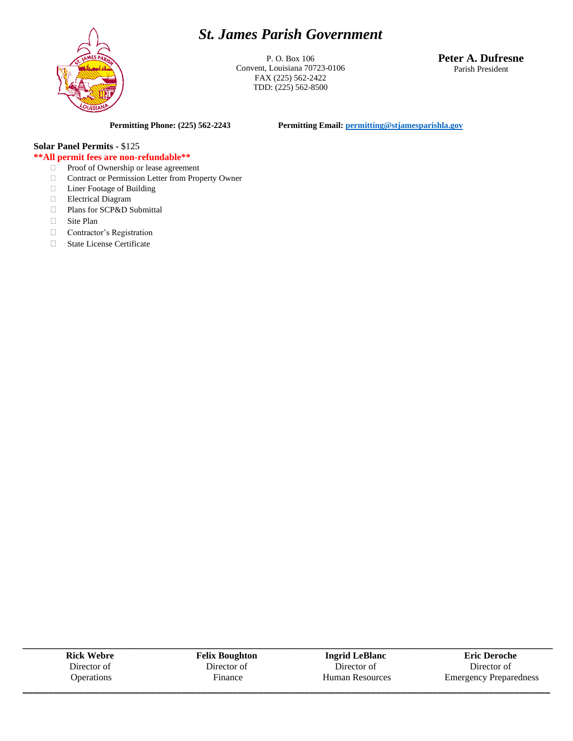# *St. James Parish Government*



P. O. Box 106 Convent, Louisiana 70723-0106 FAX (225) 562-2422 TDD: (225) 562-8500

**Peter A. Dufresne** Parish President

**Permitting Phone: (225) 562-2243 Permitting Email[: permitting@stjamesparishla.gov](mailto:permitting@stjamesparishla.gov)**

# **Solar Panel Permits -** \$125

### **\*\*All permit fees are non-refundable\*\***

- □ Proof of Ownership or lease agreement
- Contract or Permission Letter from Property Owner
- Liner Footage of Building
- Electrical Diagram
- Plans for SCP&D Submittal
- □ Site Plan
- Contractor's Registration
- □ State License Certificate

**Rick Webre** Director of **Operations** 

**Felix Boughton** Director of Finance

**\_\_\_\_\_\_\_\_\_\_\_\_\_\_\_\_\_\_\_\_\_\_\_\_\_\_\_\_\_\_\_\_\_\_\_\_\_\_\_\_\_\_\_\_\_\_\_\_\_\_\_\_\_\_\_\_\_\_\_\_\_\_\_\_\_\_\_\_\_\_\_\_\_\_\_\_\_\_\_\_\_\_\_\_\_\_\_\_\_\_\_\_\_\_\_\_\_\_\_\_\_\_\_**

**\_\_\_\_\_\_\_\_\_\_\_\_\_\_\_\_\_\_\_\_\_\_\_\_\_\_\_\_\_\_\_\_\_\_\_\_\_\_\_\_\_\_\_\_\_\_\_\_\_\_\_\_\_\_\_\_\_\_\_\_\_\_\_\_\_\_\_\_\_\_\_\_\_\_\_\_\_\_\_\_\_\_\_\_\_\_\_\_\_\_\_\_\_\_\_\_\_\_\_\_\_\_\_ Ingrid LeBlanc** Director of Human Resources

**Eric Deroche** Director of Emergency Preparedness